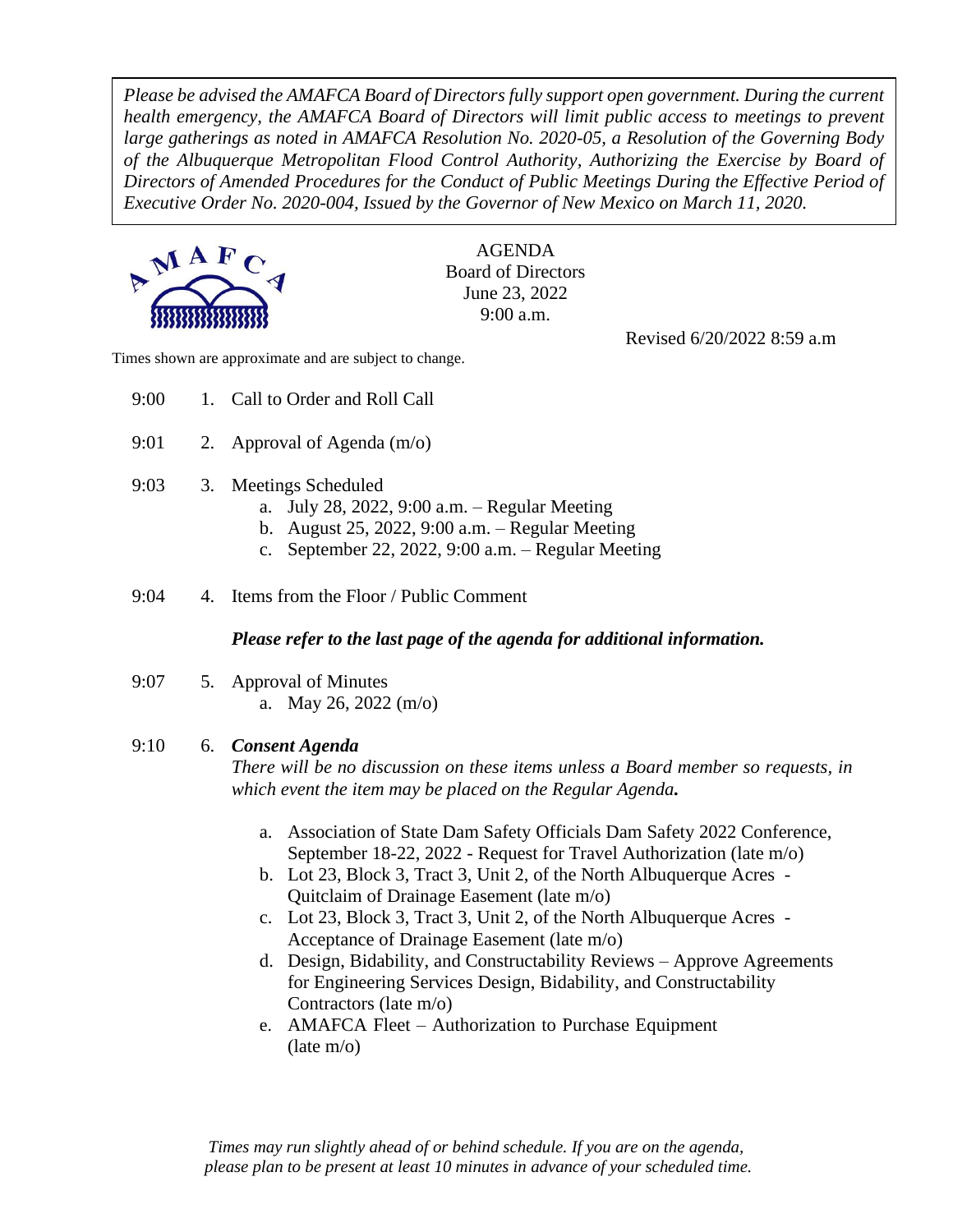*Please be advised the AMAFCA Board of Directors fully support open government. During the current health emergency, the AMAFCA Board of Directors will limit public access to meetings to prevent large gatherings as noted in AMAFCA Resolution No. 2020-05, a Resolution of the Governing Body of the Albuquerque Metropolitan Flood Control Authority, Authorizing the Exercise by Board of Directors of Amended Procedures for the Conduct of Public Meetings During the Effective Period of Executive Order No. 2020-004, Issued by the Governor of New Mexico on March 11, 2020.*



AGENDA Board of Directors June 23, 2022 9:00 a.m.

Revised 6/20/2022 8:59 a.m

Times shown are approximate and are subject to change.

- 9:00 1. Call to Order and Roll Call
- 9:01 2. Approval of Agenda (m/o)
- 9:03 3. Meetings Scheduled
	- a. July 28, 2022, 9:00 a.m. Regular Meeting
	- b. August 25, 2022, 9:00 a.m. Regular Meeting
	- c. September 22, 2022, 9:00 a.m. Regular Meeting

9:04 4. Items from the Floor / Public Comment

*Please refer to the last page of the agenda for additional information.*

9:07 5. Approval of Minutes a. May 26, 2022 (m/o)

### 9:10 6. *Consent Agenda*

*There will be no discussion on these items unless a Board member so requests, in which event the item may be placed on the Regular Agenda.*

- a. Association of State Dam Safety Officials Dam Safety 2022 Conference, September 18-22, 2022 - Request for Travel Authorization (late m/o)
- b. Lot 23, Block 3, Tract 3, Unit 2, of the North Albuquerque Acres Quitclaim of Drainage Easement (late m/o)
- c. Lot 23, Block 3, Tract 3, Unit 2, of the North Albuquerque Acres Acceptance of Drainage Easement (late m/o)
- d. Design, Bidability, and Constructability Reviews Approve Agreements for Engineering Services Design, Bidability, and Constructability Contractors (late m/o)
- e. AMAFCA Fleet Authorization to Purchase Equipment (late m/o)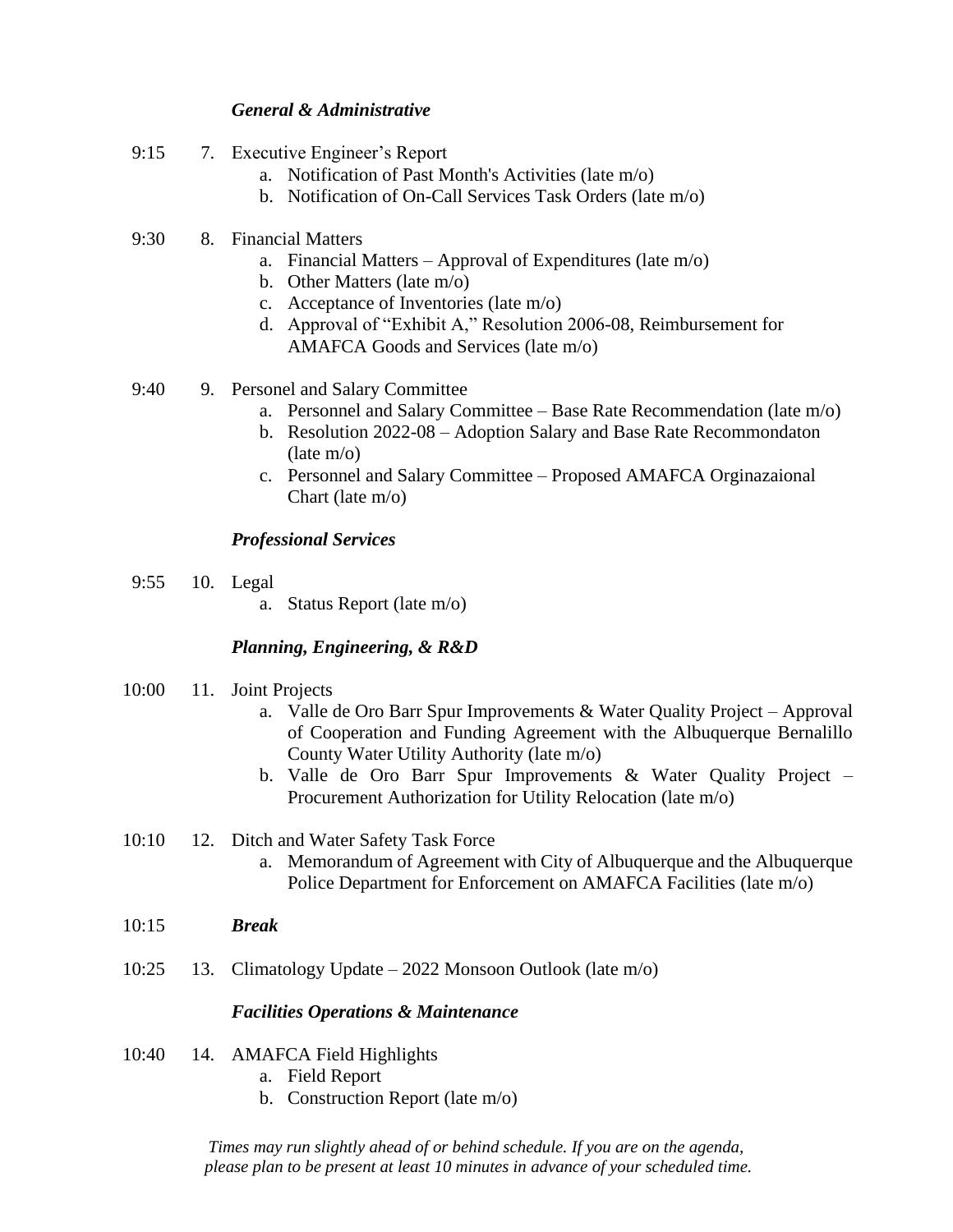### *General & Administrative*

- 9:15 7. Executive Engineer's Report
	- a. Notification of Past Month's Activities (late m/o)
	- b. Notification of On-Call Services Task Orders (late m/o)
- 9:30 8. Financial Matters
	- a. Financial Matters Approval of Expenditures (late m/o)
	- b. Other Matters (late m/o)
	- c. Acceptance of Inventories (late m/o)
	- d. Approval of "Exhibit A," Resolution 2006-08, Reimbursement for AMAFCA Goods and Services (late m/o)
- 9:40 9. Personel and Salary Committee
	- a. Personnel and Salary Committee Base Rate Recommendation (late m/o)
	- b. Resolution 2022-08 Adoption Salary and Base Rate Recommondaton (late m/o)
	- c. Personnel and Salary Committee Proposed AMAFCA Orginazaional Chart (late m/o)

### *Professional Services*

- 9:55 10. Legal
	- a. Status Report (late m/o)

### *Planning, Engineering, & R&D*

- 10:00 11. Joint Projects
	- a. Valle de Oro Barr Spur Improvements & Water Quality Project Approval of Cooperation and Funding Agreement with the Albuquerque Bernalillo County Water Utility Authority (late m/o)
	- b. Valle de Oro Barr Spur Improvements & Water Quality Project Procurement Authorization for Utility Relocation (late m/o)
- 10:10 12. Ditch and Water Safety Task Force
	- a. Memorandum of Agreement with City of Albuquerque and the Albuquerque Police Department for Enforcement on AMAFCA Facilities (late m/o)
- 10:15 *Break*
- 10:25 13. Climatology Update 2022 Monsoon Outlook (late m/o)

### *Facilities Operations & Maintenance*

- 10:40 14. AMAFCA Field Highlights
	- a. Field Report
	- b. Construction Report (late m/o)

*Times may run slightly ahead of or behind schedule. If you are on the agenda, please plan to be present at least 10 minutes in advance of your scheduled time.*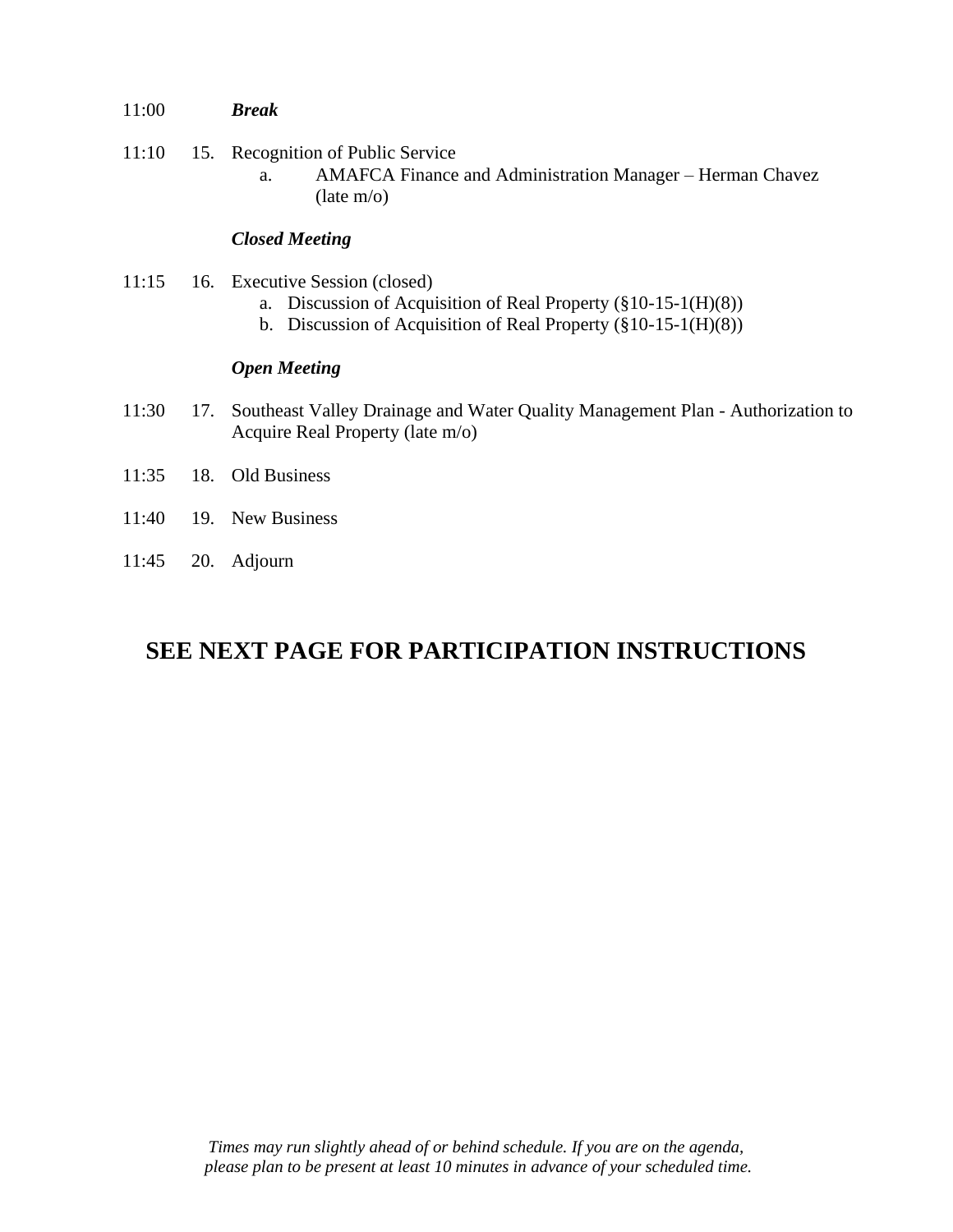- 11:00 *Break*
- 11:10 15. Recognition of Public Service
	- a. AMAFCA Finance and Administration Manager Herman Chavez (late m/o)

## *Closed Meeting*

- 11:15 16. Executive Session (closed)
	- a. Discussion of Acquisition of Real Property (§10-15-1(H)(8))
	- b. Discussion of Acquisition of Real Property (§10-15-1(H)(8))

### *Open Meeting*

- 11:30 17. Southeast Valley Drainage and Water Quality Management Plan Authorization to Acquire Real Property (late m/o)
- 11:35 18. Old Business
- 11:40 19. New Business
- 11:45 20. Adjourn

# **SEE NEXT PAGE FOR PARTICIPATION INSTRUCTIONS**